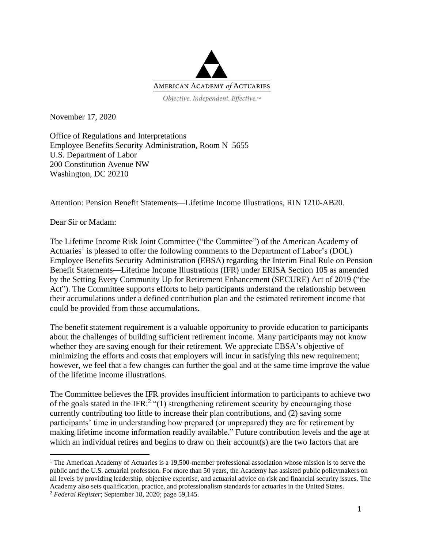

November 17, 2020

Office of Regulations and Interpretations Employee Benefits Security Administration, Room N–5655 U.S. Department of Labor 200 Constitution Avenue NW Washington, DC 20210

Attention: Pension Benefit Statements—Lifetime Income Illustrations, RIN 1210-AB20.

Dear Sir or Madam:

The Lifetime Income Risk Joint Committee ("the Committee") of the American Academy of Actuaries<sup>1</sup> is pleased to offer the following comments to the Department of Labor's (DOL) Employee Benefits Security Administration (EBSA) regarding the Interim Final Rule on Pension Benefit Statements—Lifetime Income Illustrations (IFR) under ERISA Section 105 as amended by the Setting Every Community Up for Retirement Enhancement (SECURE) Act of 2019 ("the Act"). The Committee supports efforts to help participants understand the relationship between their accumulations under a defined contribution plan and the estimated retirement income that could be provided from those accumulations.

The benefit statement requirement is a valuable opportunity to provide education to participants about the challenges of building sufficient retirement income. Many participants may not know whether they are saving enough for their retirement. We appreciate EBSA's objective of minimizing the efforts and costs that employers will incur in satisfying this new requirement; however, we feel that a few changes can further the goal and at the same time improve the value of the lifetime income illustrations.

The Committee believes the IFR provides insufficient information to participants to achieve two of the goals stated in the IFR:<sup>2</sup> "(1) strengthening retirement security by encouraging those currently contributing too little to increase their plan contributions, and (2) saving some participants' time in understanding how prepared (or unprepared) they are for retirement by making lifetime income information readily available." Future contribution levels and the age at which an individual retires and begins to draw on their account(s) are the two factors that are

<sup>&</sup>lt;sup>1</sup> The American Academy of Actuaries is a 19,500-member professional association whose mission is to serve the public and the U.S. actuarial profession. For more than 50 years, the Academy has assisted public policymakers on all levels by providing leadership, objective expertise, and actuarial advice on risk and financial security issues. The Academy also sets qualification, practice, and professionalism standards for actuaries in the United States. <sup>2</sup> *Federal Register*; September 18, 2020; page 59,145.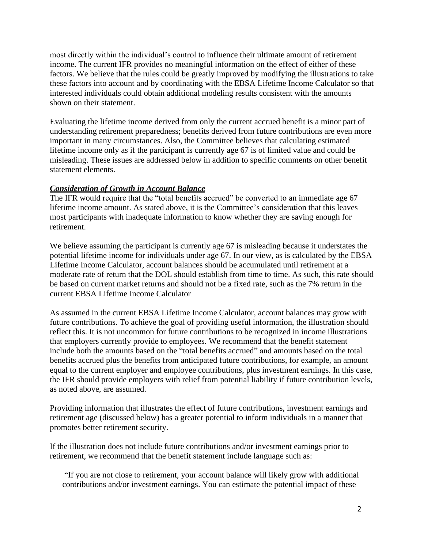most directly within the individual's control to influence their ultimate amount of retirement income. The current IFR provides no meaningful information on the effect of either of these factors. We believe that the rules could be greatly improved by modifying the illustrations to take these factors into account and by coordinating with the EBSA Lifetime Income Calculator so that interested individuals could obtain additional modeling results consistent with the amounts shown on their statement.

Evaluating the lifetime income derived from only the current accrued benefit is a minor part of understanding retirement preparedness; benefits derived from future contributions are even more important in many circumstances. Also, the Committee believes that calculating estimated lifetime income only as if the participant is currently age 67 is of limited value and could be misleading. These issues are addressed below in addition to specific comments on other benefit statement elements.

## *Consideration of Growth in Account Balance*

The IFR would require that the "total benefits accrued" be converted to an immediate age 67 lifetime income amount. As stated above, it is the Committee's consideration that this leaves most participants with inadequate information to know whether they are saving enough for retirement.

We believe assuming the participant is currently age 67 is misleading because it understates the potential lifetime income for individuals under age 67. In our view, as is calculated by the EBSA Lifetime Income Calculator, account balances should be accumulated until retirement at a moderate rate of return that the DOL should establish from time to time. As such, this rate should be based on current market returns and should not be a fixed rate, such as the 7% return in the current EBSA Lifetime Income Calculator

As assumed in the current EBSA Lifetime Income Calculator, account balances may grow with future contributions. To achieve the goal of providing useful information, the illustration should reflect this. It is not uncommon for future contributions to be recognized in income illustrations that employers currently provide to employees. We recommend that the benefit statement include both the amounts based on the "total benefits accrued" and amounts based on the total benefits accrued plus the benefits from anticipated future contributions, for example, an amount equal to the current employer and employee contributions, plus investment earnings. In this case, the IFR should provide employers with relief from potential liability if future contribution levels, as noted above, are assumed.

Providing information that illustrates the effect of future contributions, investment earnings and retirement age (discussed below) has a greater potential to inform individuals in a manner that promotes better retirement security.

If the illustration does not include future contributions and/or investment earnings prior to retirement, we recommend that the benefit statement include language such as:

"If you are not close to retirement, your account balance will likely grow with additional contributions and/or investment earnings. You can estimate the potential impact of these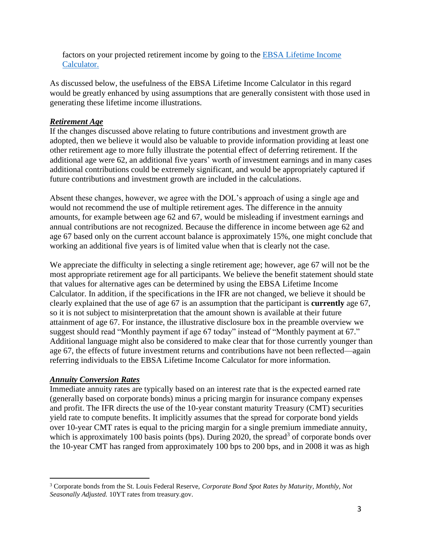factors on your projected retirement income by going to the [EBSA Lifetime Income](https://www.dol.gov/agencies/ebsa/laws-and-regulations/rules-and-regulations/advanced-notices-of-proposed-rulemaking/lifetime-income-calculator)  [Calculator.](https://www.dol.gov/agencies/ebsa/laws-and-regulations/rules-and-regulations/advanced-notices-of-proposed-rulemaking/lifetime-income-calculator)

As discussed below, the usefulness of the EBSA Lifetime Income Calculator in this regard would be greatly enhanced by using assumptions that are generally consistent with those used in generating these lifetime income illustrations.

# *Retirement Age*

If the changes discussed above relating to future contributions and investment growth are adopted, then we believe it would also be valuable to provide information providing at least one other retirement age to more fully illustrate the potential effect of deferring retirement. If the additional age were 62, an additional five years' worth of investment earnings and in many cases additional contributions could be extremely significant, and would be appropriately captured if future contributions and investment growth are included in the calculations.

Absent these changes, however, we agree with the DOL's approach of using a single age and would not recommend the use of multiple retirement ages. The difference in the annuity amounts, for example between age 62 and 67, would be misleading if investment earnings and annual contributions are not recognized. Because the difference in income between age 62 and age 67 based only on the current account balance is approximately 15%, one might conclude that working an additional five years is of limited value when that is clearly not the case.

We appreciate the difficulty in selecting a single retirement age; however, age 67 will not be the most appropriate retirement age for all participants. We believe the benefit statement should state that values for alternative ages can be determined by using the EBSA Lifetime Income Calculator. In addition, if the specifications in the IFR are not changed, we believe it should be clearly explained that the use of age 67 is an assumption that the participant is **currently** age 67, so it is not subject to misinterpretation that the amount shown is available at their future attainment of age 67. For instance, the illustrative disclosure box in the preamble overview we suggest should read "Monthly payment if age 67 today" instead of "Monthly payment at 67." Additional language might also be considered to make clear that for those currently younger than age 67, the effects of future investment returns and contributions have not been reflected—again referring individuals to the EBSA Lifetime Income Calculator for more information.

## *Annuity Conversion Rates*

Immediate annuity rates are typically based on an interest rate that is the expected earned rate (generally based on corporate bonds) minus a pricing margin for insurance company expenses and profit. The IFR directs the use of the 10-year constant maturity Treasury (CMT) securities yield rate to compute benefits. It implicitly assumes that the spread for corporate bond yields over 10-year CMT rates is equal to the pricing margin for a single premium immediate annuity, which is approximately 100 basis points (bps). During 2020, the spread<sup>3</sup> of corporate bonds over the 10-year CMT has ranged from approximately 100 bps to 200 bps, and in 2008 it was as high

<sup>3</sup> Corporate bonds from the St. Louis Federal Reserve, *Corporate Bond Spot Rates by Maturity, Monthly, Not Seasonally Adjusted.* 10YT rates from treasury.gov.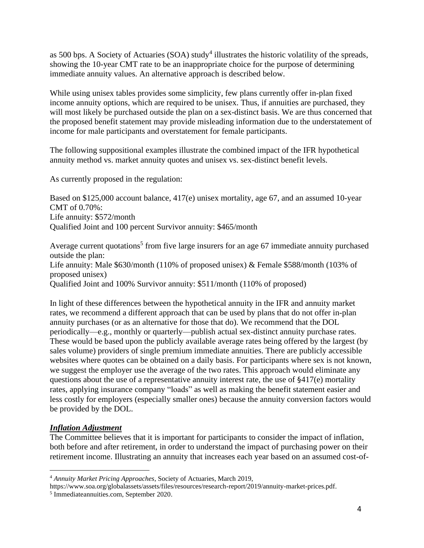as 500 bps. A Society of Actuaries (SOA) study<sup>4</sup> illustrates the historic volatility of the spreads, showing the 10-year CMT rate to be an inappropriate choice for the purpose of determining immediate annuity values. An alternative approach is described below.

While using unisex tables provides some simplicity, few plans currently offer in-plan fixed income annuity options, which are required to be unisex. Thus, if annuities are purchased, they will most likely be purchased outside the plan on a sex-distinct basis. We are thus concerned that the proposed benefit statement may provide misleading information due to the understatement of income for male participants and overstatement for female participants.

The following suppositional examples illustrate the combined impact of the IFR hypothetical annuity method vs. market annuity quotes and unisex vs. sex-distinct benefit levels.

As currently proposed in the regulation:

Based on \$125,000 account balance, 417(e) unisex mortality, age 67, and an assumed 10-year CMT of 0.70%: Life annuity: \$572/month Qualified Joint and 100 percent Survivor annuity: \$465/month

Average current quotations<sup>5</sup> from five large insurers for an age 67 immediate annuity purchased outside the plan: Life annuity: Male \$630/month (110% of proposed unisex) & Female \$588/month (103% of proposed unisex) Qualified Joint and 100% Survivor annuity: \$511/month (110% of proposed)

In light of these differences between the hypothetical annuity in the IFR and annuity market rates, we recommend a different approach that can be used by plans that do not offer in-plan annuity purchases (or as an alternative for those that do). We recommend that the DOL periodically—e.g., monthly or quarterly—publish actual sex-distinct annuity purchase rates. These would be based upon the publicly available average rates being offered by the largest (by sales volume) providers of single premium immediate annuities. There are publicly accessible websites where quotes can be obtained on a daily basis. For participants where sex is not known, we suggest the employer use the average of the two rates. This approach would eliminate any questions about the use of a representative annuity interest rate, the use of  $\S417(e)$  mortality rates, applying insurance company "loads" as well as making the benefit statement easier and less costly for employers (especially smaller ones) because the annuity conversion factors would be provided by the DOL.

## *Inflation Adjustment*

The Committee believes that it is important for participants to consider the impact of inflation, both before and after retirement, in order to understand the impact of purchasing power on their retirement income. Illustrating an annuity that increases each year based on an assumed cost-of-

<sup>4</sup> *Annuity Market Pricing Approaches*, Society of Actuaries, March 2019,

https://www.soa.org/globalassets/assets/files/resources/research-report/2019/annuity-market-prices.pdf.

<sup>5</sup> Immediateannuities.com, September 2020.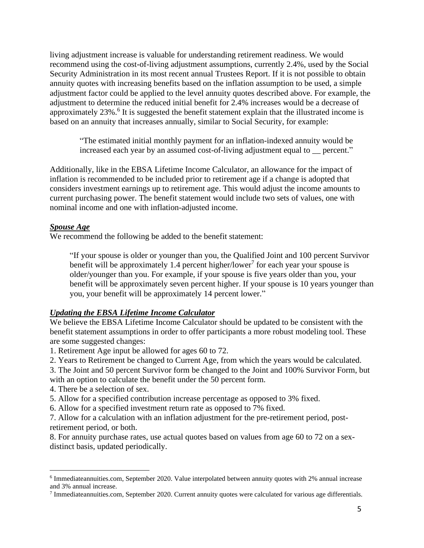living adjustment increase is valuable for understanding retirement readiness. We would recommend using the cost-of-living adjustment assumptions, currently 2.4%, used by the Social Security Administration in its most recent annual Trustees Report. If it is not possible to obtain annuity quotes with increasing benefits based on the inflation assumption to be used, a simple adjustment factor could be applied to the level annuity quotes described above. For example, the adjustment to determine the reduced initial benefit for 2.4% increases would be a decrease of approximately  $23\%$ .<sup>6</sup> It is suggested the benefit statement explain that the illustrated income is based on an annuity that increases annually, similar to Social Security, for example:

"The estimated initial monthly payment for an inflation-indexed annuity would be increased each year by an assumed cost-of-living adjustment equal to \_\_ percent."

Additionally, like in the EBSA Lifetime Income Calculator, an allowance for the impact of inflation is recommended to be included prior to retirement age if a change is adopted that considers investment earnings up to retirement age. This would adjust the income amounts to current purchasing power. The benefit statement would include two sets of values, one with nominal income and one with inflation-adjusted income.

## *Spouse Age*

We recommend the following be added to the benefit statement:

"If your spouse is older or younger than you, the Qualified Joint and 100 percent Survivor benefit will be approximately 1.4 percent higher/lower<sup>7</sup> for each year your spouse is older/younger than you. For example, if your spouse is five years older than you, your benefit will be approximately seven percent higher. If your spouse is 10 years younger than you, your benefit will be approximately 14 percent lower."

#### *Updating the EBSA Lifetime Income Calculator*

We believe the EBSA Lifetime Income Calculator should be updated to be consistent with the benefit statement assumptions in order to offer participants a more robust modeling tool. These are some suggested changes:

1. Retirement Age input be allowed for ages 60 to 72.

2. Years to Retirement be changed to Current Age, from which the years would be calculated.

3. The Joint and 50 percent Survivor form be changed to the Joint and 100% Survivor Form, but with an option to calculate the benefit under the 50 percent form.

4. There be a selection of sex.

5. Allow for a specified contribution increase percentage as opposed to 3% fixed.

6. Allow for a specified investment return rate as opposed to 7% fixed.

7. Allow for a calculation with an inflation adjustment for the pre-retirement period, postretirement period, or both.

8. For annuity purchase rates, use actual quotes based on values from age 60 to 72 on a sexdistinct basis, updated periodically.

<sup>&</sup>lt;sup>6</sup> Immediateannuities.com, September 2020. Value interpolated between annuity quotes with 2% annual increase and 3% annual increase.

<sup>&</sup>lt;sup>7</sup> Immediateannuities.com, September 2020. Current annuity quotes were calculated for various age differentials.